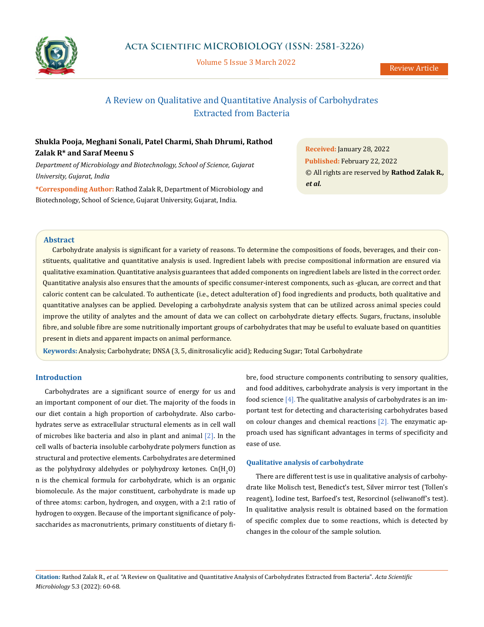

Volume 5 Issue 3 March 2022

# A Review on Qualitative and Quantitative Analysis of Carbohydrates Extracted from Bacteria

## **Shukla Pooja, Meghani Sonali, Patel Charmi, Shah Dhrumi, Rathod Zalak R\* and Saraf Meenu S**

*Department of Microbiology and Biotechnology, School of Science, Gujarat University, Gujarat, India*

**\*Corresponding Author:** Rathod Zalak R, Department of Microbiology and Biotechnology, School of Science, Gujarat University, Gujarat, India.

**Received:** January 28, 2022 **Published:** February 22, 2022 © All rights are reserved by **Rathod Zalak R***., et al.*

## **Abstract**

Carbohydrate analysis is significant for a variety of reasons. To determine the compositions of foods, beverages, and their constituents, qualitative and quantitative analysis is used. Ingredient labels with precise compositional information are ensured via qualitative examination. Quantitative analysis guarantees that added components on ingredient labels are listed in the correct order. Quantitative analysis also ensures that the amounts of specific consumer-interest components, such as -glucan, are correct and that caloric content can be calculated. To authenticate (i.e., detect adulteration of) food ingredients and products, both qualitative and quantitative analyses can be applied. Developing a carbohydrate analysis system that can be utilized across animal species could improve the utility of analytes and the amount of data we can collect on carbohydrate dietary effects. Sugars, fructans, insoluble fibre, and soluble fibre are some nutritionally important groups of carbohydrates that may be useful to evaluate based on quantities present in diets and apparent impacts on animal performance.

**Keywords:** Analysis; Carbohydrate; DNSA (3, 5, dinitrosalicylic acid); Reducing Sugar; Total Carbohydrate

## **Introduction**

Carbohydrates are a significant source of energy for us and an important component of our diet. The majority of the foods in our diet contain a high proportion of carbohydrate. Also carbohydrates serve as extracellular structural elements as in cell wall of microbes like bacteria and also in plant and animal [2]. In the cell walls of bacteria insoluble carbohydrate polymers function as structural and protective elements. Carbohydrates are determined as the polyhydroxy aldehydes or polyhydroxy ketones.  $\mathsf{Cn}(\mathsf{H}_2\mathsf{O})$ n is the chemical formula for carbohydrate, which is an organic biomolecule. As the major constituent, carbohydrate is made up of three atoms: carbon, hydrogen, and oxygen, with a 2:1 ratio of hydrogen to oxygen. Because of the important significance of polysaccharides as macronutrients, primary constituents of dietary fibre, food structure components contributing to sensory qualities, and food additives, carbohydrate analysis is very important in the food science [4]. The qualitative analysis of carbohydrates is an important test for detecting and characterising carbohydrates based on colour changes and chemical reactions [2]. The enzymatic approach used has significant advantages in terms of specificity and ease of use.

## **Qualitative analysis of carbohydrate**

There are different test is use in qualitative analysis of carbohydrate like Molisch test, Benedict's test, Silver mirror test (Tollen's reagent), Iodine test, Barfoed's test, Resorcinol (seliwanoff's test). In qualitative analysis result is obtained based on the formation of specific complex due to some reactions, which is detected by changes in the colour of the sample solution.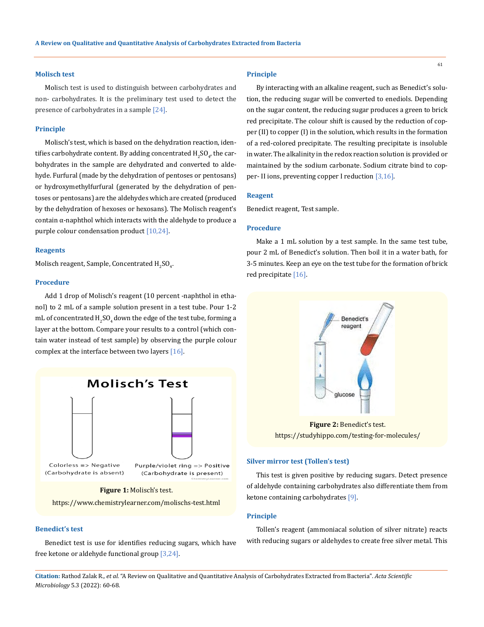### **Molisch test**

Molisch test is used to distinguish between carbohydrates and non- carbohydrates. It is the preliminary test used to detect the presence of carbohydrates in a sample [24].

#### **Principle**

Molisch's test, which is based on the dehydration reaction, identifies carbohydrate content. By adding concentrated  $\rm{H}_{2}SO_{4}$ , the carbohydrates in the sample are dehydrated and converted to aldehyde. Furfural (made by the dehydration of pentoses or pentosans) or hydroxymethylfurfural (generated by the dehydration of pentoses or pentosans) are the aldehydes which are created (produced by the dehydration of hexoses or hexosans). The Molisch reagent's contain α-naphthol which interacts with the aldehyde to produce a purple colour condensation product [10,24].

#### **Reagents**

Molisch reagent, Sample, Concentrated  $\rm{H}_{2}SO_{4}$ .

### **Procedure**

Add 1 drop of Molisch's reagent (10 percent -naphthol in ethanol) to 2 mL of a sample solution present in a test tube. Pour 1-2 mL of concentrated  $\rm{H_2SO_4}$  down the edge of the test tube, forming a layer at the bottom. Compare your results to a control (which contain water instead of test sample) by observing the purple colour complex at the interface between two layers [16].



**Figure 1:** Molisch's test.

https://www.chemistrylearner.com/molischs-test.html

## **Benedict's test**

Benedict test is use for identifies reducing sugars, which have free ketone or aldehyde functional group [3,24].

## **Principle**

By interacting with an alkaline reagent, such as Benedict's solution, the reducing sugar will be converted to enediols. Depending on the sugar content, the reducing sugar produces a green to brick red precipitate. The colour shift is caused by the reduction of copper (II) to copper (I) in the solution, which results in the formation of a red-colored precipitate. The resulting precipitate is insoluble in water. The alkalinity in the redox reaction solution is provided or maintained by the sodium carbonate. Sodium citrate bind to copper- II ions, preventing copper I reduction [3,16].

#### **Reagent**

Benedict reagent, Test sample.

#### **Procedure**

Make a 1 mL solution by a test sample. In the same test tube, pour 2 mL of Benedict's solution. Then boil it in a water bath, for 3-5 minutes. Keep an eye on the test tube for the formation of brick red precipitate [16].



**Figure 2:** Benedict's test. https://studyhippo.com/testing-for-molecules/

### **Silver mirror test (Tollen's test)**

This test is given positive by reducing sugars. Detect presence of aldehyde containing carbohydrates also differentiate them from ketone containing carbohydrates [9].

#### **Principle**

Tollen's reagent (ammoniacal solution of silver nitrate) reacts with reducing sugars or aldehydes to create free silver metal. This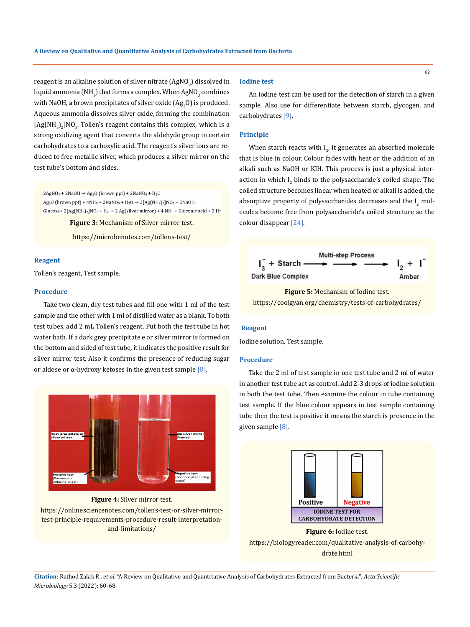reagent is an alkaline solution of silver nitrate (AgNO $_{\rm 3}$ ) dissolved in liquid ammonia (NH $_{\rm 3}$ ) that forms a complex. When AgNO $_{\rm 3}$  combines with NaOH, a brown precipitates of silver oxide  $(\mathrm{Ag}_{2}O)$  is produced. Aqueous ammonia dissolves silver oxide, forming the combination  $[Ag(NH<sub>3</sub>)<sub>2</sub>]NO<sub>3</sub>$ . Tollen's reagent contains this complex, which is a strong oxidizing agent that converts the aldehyde group in certain carbohydrates to a carboxylic acid. The reagent's silver ions are reduced to free metallic silver, which produces a silver mirror on the test tube's bottom and sides.

 $2AgNO<sub>3</sub> + 2NaOH \rightarrow Ag<sub>2</sub>O$  (brown ppt) +  $2NaNO<sub>3</sub> + H<sub>2</sub>O$ Ag<sub>2</sub>O (brown ppt) + 4NH<sub>3</sub> + 2NaNO<sub>3</sub> + H<sub>2</sub>O  $\rightarrow$  2[Ag(NH<sub>3</sub>)<sub>2</sub>]NO<sub>3</sub> + 2NaOH Glucose+ 2[Ag(NH<sub>3</sub>)<sub>2</sub>]NO<sub>3</sub> + H<sub>2</sub>  $\rightarrow$  2 Ag(silver mirror) + 4 NH<sub>3</sub> + Gluconic acid + 2 H<sup>+</sup>

**Figure 3:** Mechanism of Silver mirror test.

https://microbenotes.com/tollens-test/

## **Reagent**

Tollen's reagent, Test sample.

## **Procedure**

Take two clean, dry test tubes and fill one with 1 ml of the test sample and the other with 1 ml of distilled water as a blank. To both test tubes, add 2 mL Tollen's reagent. Put both the test tube in hot water bath. If a dark grey precipitate e or silver mirror is formed on the bottom and sided of test tube, it indicates the positive result for silver mirror test. Also it confirms the presence of reducing sugar or aldose or α-hydroxy ketoses in the given test sample  $[8]$ .



**Figure 4:** Silver mirror test.

https://onlinesciencenotes.com/tollens-test-or-silver-mirrortest-principle-requirements-procedure-result-interpretationand-limitations/

#### **Iodine test**

An iodine test can be used for the detection of starch in a given sample. Also use for differentiate between starch, glycogen, and carbohydrates [9].

## **Principle**

When starch reacts with  $I_{2'}$  it generates an absorbed molecule that is blue in colour. Colour fades with heat or the addition of an alkali such as NaOH or KIH. This process is just a physical interaction in which  $I_2$  binds to the polysaccharide's coiled shape. The coiled structure becomes linear when heated or alkali is added, the absorptive property of polysaccharides decreases and the  $I_2$  molecules become free from polysaccharide's coiled structure so the colour disappear [24].



**Figure 5:** Mechanism of Iodine test. https://coolgyan.org/chemistry/tests-of-carbohydrates/

## **Reagent**

Iodine solution, Test sample.

#### **Procedure**

Take the 2 ml of test sample in one test tube and 2 ml of water in another test tube act as control. Add 2-3 drops of iodine solution in both the test tube. Then examine the colour in tube containing test sample. If the blue colour appears in test sample containing tube then the test is positive it means the starch is presence in the given sample [8].



**Figure 6:** Iodine test. https://biologyreader.com/qualitative-analysis-of-carbohydrate.html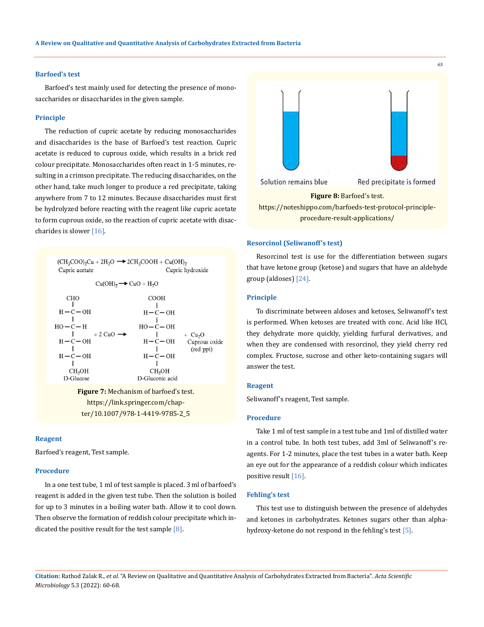## **Barfoed's test**

Barfoed's test mainly used for detecting the presence of monosaccharides or disaccharides in the given sample.

#### **Principle**

The reduction of cupric acetate by reducing monosaccharides and disaccharides is the base of Barfoed's test reaction. Cupric acetate is reduced to cuprous oxide, which results in a brick red colour precipitate. Monosaccharides often react in 1-5 minutes, resulting in a crimson precipitate. The reducing disaccharides, on the other hand, take much longer to produce a red precipitate, taking anywhere from 7 to 12 minutes. Because disaccharides must first be hydrolyzed before reacting with the reagent like cupric acetate to form cuprous oxide, so the reaction of cupric acetate with disaccharides is slower [16].



https://link.springer.com/chapter/10.1007/978-1-4419-9785-2\_5

## **Reagent**

Barfoed's reagent, Test sample.

## **Procedure**

In a one test tube, 1 ml of test sample is placed. 3 ml of barfoed's reagent is added in the given test tube. Then the solution is boiled for up to 3 minutes in a boiling water bath. Allow it to cool down. Then observe the formation of reddish colour precipitate which indicated the positive result for the test sample  $[8]$ .



## **Resorcinol (Seliwanoff's test)**

Resorcinol test is use for the differentiation between sugars that have ketone group (ketose) and sugars that have an aldehyde group (aldoses) [24].

#### **Principle**

To discriminate between aldoses and ketoses, Seliwanoff's test is performed. When ketoses are treated with conc. Acid like HCl, they dehydrate more quickly, yielding furfural derivatives, and when they are condensed with resorcinol, they yield cherry red complex. Fructose, sucrose and other keto-containing sugars will answer the test.

#### **Reagent**

Seliwanoff's reagent, Test sample.

#### **Procedure**

Take 1 ml of test sample in a test tube and 1ml of distilled water in a control tube. In both test tubes, add 3ml of Seliwanoff's reagents. For 1-2 minutes, place the test tubes in a water bath. Keep an eye out for the appearance of a reddish colour which indicates positive result [16].

## **Fehling's test**

This test use to distinguish between the presence of aldehydes and ketones in carbohydrates. Ketones sugars other than alphahydroxy-ketone do not respond in the fehling's test [5].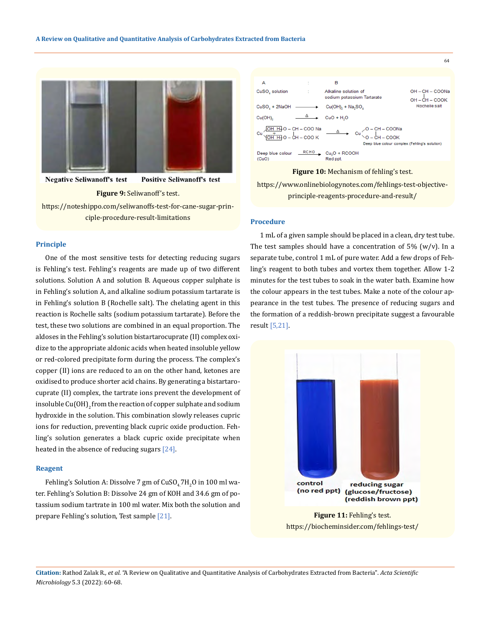

**Negative Seliwanoff's test Positive Seliwanoff's test** 

#### **Figure 9:** Seliwanoff's test.

https://noteshippo.com/seliwanoffs-test-for-cane-sugar-principle-procedure-result-limitations

#### **Principle**

One of the most sensitive tests for detecting reducing sugars is Fehling's test. Fehling's reagents are made up of two different solutions. Solution A and solution B. Aqueous copper sulphate is in Fehling's solution A, and alkaline sodium potassium tartarate is in Fehling's solution B (Rochelle salt). The chelating agent in this reaction is Rochelle salts (sodium potassium tartarate). Before the test, these two solutions are combined in an equal proportion. The aldoses in the Fehling's solution bistartarocuprate (II) complex oxidize to the appropriate aldonic acids when heated insoluble yellow or red-colored precipitate form during the process. The complex's copper (II) ions are reduced to an on the other hand, ketones are oxidised to produce shorter acid chains. By generating a bistartarocuprate (II) complex, the tartrate ions prevent the development of insoluble Cu(OH)<sub>2</sub> from the reaction of copper sulphate and sodium hydroxide in the solution. This combination slowly releases cupric ions for reduction, preventing black cupric oxide production. Fehling's solution generates a black cupric oxide precipitate when heated in the absence of reducing sugars [24].

#### **Reagent**

Fehling's Solution A: Dissolve  $7$  gm of  $CuSO_4/H_2O$  in  $100$  ml water. Fehling's Solution B: Dissolve 24 gm of KOH and 34.6 gm of potassium sodium tartrate in 100 ml water. Mix both the solution and prepare Fehling's solution, Test sample [21].



**Figure 10:** Mechanism of fehling's test.

https://www.onlinebiologynotes.com/fehlings-test-objectiveprinciple-reagents-procedure-and-result/

## **Procedure**

1 mL of a given sample should be placed in a clean, dry test tube. The test samples should have a concentration of  $5\%$  (w/v). In a separate tube, control 1 mL of pure water. Add a few drops of Fehling's reagent to both tubes and vortex them together. Allow 1-2 minutes for the test tubes to soak in the water bath. Examine how the colour appears in the test tubes. Make a note of the colour appearance in the test tubes. The presence of reducing sugars and the formation of a reddish-brown precipitate suggest a favourable result [5,21].



https://biocheminsider.com/fehlings-test/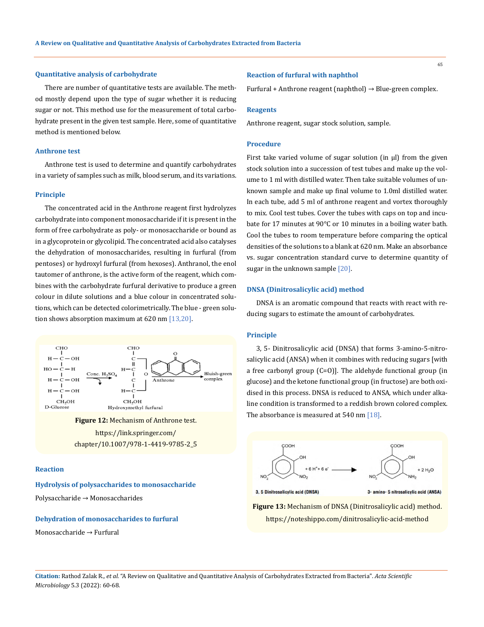## **Quantitative analysis of carbohydrate**

There are number of quantitative tests are available. The method mostly depend upon the type of sugar whether it is reducing sugar or not. This method use for the measurement of total carbohydrate present in the given test sample. Here, some of quantitative method is mentioned below.

## **Anthrone test**

Anthrone test is used to determine and quantify carbohydrates in a variety of samples such as milk, blood serum, and its variations.

## **Principle**

The concentrated acid in the Anthrone reagent first hydrolyzes carbohydrate into component monosaccharide if it is present in the form of free carbohydrate as poly- or monosaccharide or bound as in a glycoprotein or glycolipid. The concentrated acid also catalyses the dehydration of monosaccharides, resulting in furfural (from pentoses) or hydroxyl furfural (from hexoses). Anthranol, the enol tautomer of anthrone, is the active form of the reagent, which combines with the carbohydrate furfural derivative to produce a green colour in dilute solutions and a blue colour in concentrated solutions, which can be detected colorimetrically. The blue - green solution shows absorption maximum at 620 nm [13,20].



**Figure 12:** Mechanism of Anthrone test. https://link.springer.com/ chapter/10.1007/978-1-4419-9785-2\_5

## **Reaction**

**Hydrolysis of polysaccharides to monosaccharide** Polysaccharide → Monosaccharides

## **Dehydration of monosaccharides to furfural**

Monosaccharide → Furfural

## **Reaction of furfural with naphthol**

Furfural + Anthrone reagent (naphthol)  $\rightarrow$  Blue-green complex.

#### **Reagents**

Anthrone reagent, sugar stock solution, sample.

## **Procedure**

First take varied volume of sugar solution (in μl) from the given stock solution into a succession of test tubes and make up the volume to 1 ml with distilled water. Then take suitable volumes of unknown sample and make up final volume to 1.0ml distilled water. In each tube, add 5 ml of anthrone reagent and vortex thoroughly to mix. Cool test tubes. Cover the tubes with caps on top and incubate for 17 minutes at 90°C or 10 minutes in a boiling water bath. Cool the tubes to room temperature before comparing the optical densities of the solutions to a blank at 620 nm. Make an absorbance vs. sugar concentration standard curve to determine quantity of sugar in the unknown sample [20].

#### **DNSA (Dinitrosalicylic acid) method**

DNSA is an aromatic compound that reacts with react with reducing sugars to estimate the amount of carbohydrates.

## **Principle**

3, 5- Dinitrosalicylic acid (DNSA) that forms 3-amino-5-nitrosalicylic acid (ANSA) when it combines with reducing sugars [with a free carbonyl group (C=O)]. The aldehyde functional group (in glucose) and the ketone functional group (in fructose) are both oxidised in this process. DNSA is reduced to ANSA, which under alkaline condition is transformed to a reddish brown colored complex. The absorbance is measured at 540 nm [18].





3, 5 Dinitrosalicylic acid (DNSA)

3- amino- 5 nitrosalicylic acid (ANSA)

**Figure 13:** Mechanism of DNSA (Dinitrosalicylic acid) method. https://noteshippo.com/dinitrosalicylic-acid-method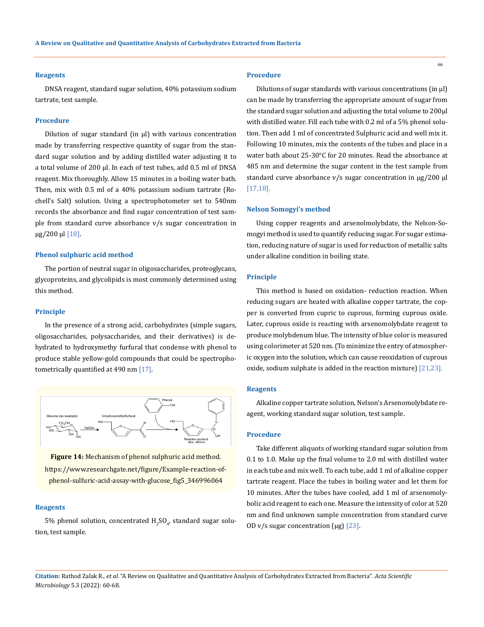#### **Reagents**

DNSA reagent, standard sugar solution, 40% potassium sodium tartrate, test sample.

#### **Procedure**

Dilution of sugar standard (in μl) with various concentration made by transferring respective quantity of sugar from the standard sugar solution and by adding distilled water adjusting it to a total volume of 200 µl. In each of test tubes, add 0.5 ml of DNSA reagent. Mix thoroughly. Allow 15 minutes in a boiling water bath. Then, mix with 0.5 ml of a 40% potassium sodium tartrate (Rochell's Salt) solution. Using a spectrophotometer set to 540nm records the absorbance and find sugar concentration of test sample from standard curve absorbance v/s sugar concentration in µg/200 µl [18].

#### **Phenol sulphuric acid method**

The portion of neutral sugar in oligosaccharides, proteoglycans, glycoproteins, and glycolipids is most commonly determined using this method.

#### **Principle**

In the presence of a strong acid, carbohydrates (simple sugars, oligosaccharides, polysaccharides, and their derivatives) is dehydrated to hydroxymethy furfural that condense with phenol to produce stable yellow-gold compounds that could be spectrophotometrically quantified at 490 nm [17].



**Figure 14:** Mechanism of phenol sulphuric acid method.

https://www.researchgate.net/figure/Example-reaction-ofphenol-sulfuric-acid-assay-with-glucose\_fig5\_346996064

#### **Reagents**

5% phenol solution, concentrated  ${\rm H_2SO}_{4'}$  standard sugar solution, test sample.

#### **Procedure**

Dilutions of sugar standards with various concentrations (in μl) can be made by transferring the appropriate amount of sugar from the standard sugar solution and adjusting the total volume to 200μl with distilled water. Fill each tube with 0.2 ml of a 5% phenol solution. Then add 1 ml of concentrated Sulphuric acid and well mix it. Following 10 minutes, mix the contents of the tubes and place in a water bath about 25-30°C for 20 minutes. Read the absorbance at 485 nm and determine the sugar content in the test sample from standard curve absorbance v/s sugar concentration in  $\mu$ g/200 µl [17,18].

#### **Nelson Somogyi's method**

Using copper reagents and arsenolmolybdate, the Nelson-Somogyi method is used to quantify reducing sugar. For sugar estimation, reducing nature of sugar is used for reduction of metallic salts under alkaline condition in boiling state.

#### **Principle**

This method is based on oxidation- reduction reaction. When reducing sugars are heated with alkaline copper tartrate, the copper is converted from cupric to cuprous, forming cuprous oxide. Later, cuprous oxide is reacting with arsenomolybdate reagent to produce molybdenum blue. The intensity of blue color is measured using colorimeter at 520 nm. (To minimize the entry of atmospheric oxygen into the solution, which can cause reoxidation of cuprous oxide, sodium sulphate is added in the reaction mixture) [21,23].

#### **Reagents**

Alkaline copper tartrate solution, Nelson's Arsenomolybdate reagent, working standard sugar solution, test sample.

#### **Procedure**

Take different aliquots of working standard sugar solution from 0.1 to 1.0. Make up the final volume to 2.0 ml with distilled water in each tube and mix well. To each tube, add 1 ml of alkaline copper tartrate reagent. Place the tubes in boiling water and let them for 10 minutes. After the tubes have cooled, add 1 ml of arsenomolybolic acid reagent to each one. Measure the intensity of color at 520 nm and find unknown sample concentration from standard curve OD v/s sugar concentration ( $\mu$ g) [23].

**Citation:** Rathod Zalak R*., et al.* "A Review on Qualitative and Quantitative Analysis of Carbohydrates Extracted from Bacteria". *Acta Scientific Microbiology* 5.3 (2022): 60-68.

66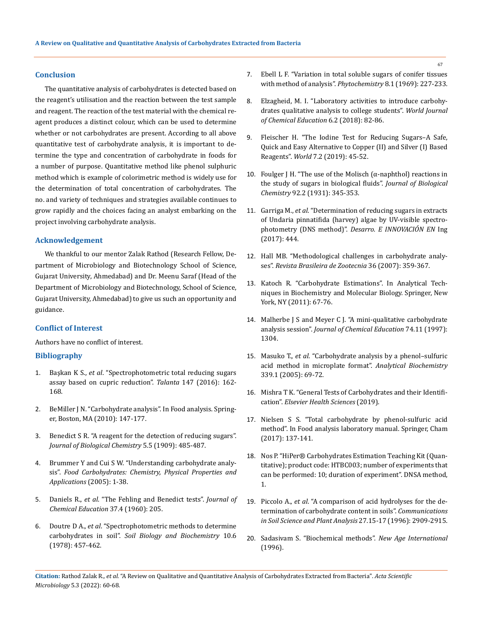## **Conclusion**

The quantitative analysis of carbohydrates is detected based on the reagent's utilisation and the reaction between the test sample and reagent. The reaction of the test material with the chemical reagent produces a distinct colour, which can be used to determine whether or not carbohydrates are present. According to all above quantitative test of carbohydrate analysis, it is important to determine the type and concentration of carbohydrate in foods for a number of purpose. Quantitative method like phenol sulphuric method which is example of colorimetric method is widely use for the determination of total concentration of carbohydrates. The no. and variety of techniques and strategies available continues to grow rapidly and the choices facing an analyst embarking on the project involving carbohydrate analysis.

## **Acknowledgement**

We thankful to our mentor Zalak Rathod (Research Fellow, Department of Microbiology and Biotechnology School of Science, Gujarat University, Ahmedabad) and Dr. Meenu Saraf (Head of the Department of Microbiology and Biotechnology, School of Science, Gujarat University, Ahmedabad) to give us such an opportunity and guidance.

## **Conflict of Interest**

Authors have no conflict of interest.

## **Bibliography**

- 1. Başkan K S., *et al*[. "Spectrophotometric total reducing sugars](https://pubmed.ncbi.nlm.nih.gov/26592591/)  [assay based on cupric reduction".](https://pubmed.ncbi.nlm.nih.gov/26592591/) *Talanta* 147 (2016): 162- [168.](https://pubmed.ncbi.nlm.nih.gov/26592591/)
- 2. BeMiller J N. "Carbohydrate analysis". In Food analysis. Springer, Boston, MA (2010): 147-177.
- 3. [Benedict S R. "A reagent for the detection of reducing sugars".](https://www.sciencedirect.com/science/article/pii/S0021925818916455)  *[Journal of Biological Chemistry](https://www.sciencedirect.com/science/article/pii/S0021925818916455)* 5.5 (1909): 485-487.
- 4. [Brummer Y and Cui S W. "Understanding carbohydrate analy](https://www.researchgate.net/publication/265660190_Understanding_Carbohydrate_Analysis)sis". *[Food Carbohydrates: Chemistry, Physical Properties and](https://www.researchgate.net/publication/265660190_Understanding_Carbohydrate_Analysis)  [Applications](https://www.researchgate.net/publication/265660190_Understanding_Carbohydrate_Analysis)* (2005): 1-38.
- 5. Daniels R., *et al*[. "The Fehling and Benedict tests".](https://pubs.acs.org/doi/10.1021/ed037p205) *Journal of [Chemical Education](https://pubs.acs.org/doi/10.1021/ed037p205)* 37.4 (1960): 205.
- 6. Doutre D A., *et al*. "Spectrophotometric methods to determine carbohydrates in soil". *Soil Biology and Biochemistry* 10.6 (1978): 457-462.
- 7. [Ebell L F. "Variation in total soluble sugars of conifer tissues](https://www.sciencedirect.com/science/article/abs/pii/S0031942200858185)  [with method of analysis".](https://www.sciencedirect.com/science/article/abs/pii/S0031942200858185) *Phytochemistry* 8.1 (1969): 227-233.
- 8. [Elzagheid, M. I. "Laboratory activities to introduce carbohy](https://www.researchgate.net/publication/322952552_Laboratory_Activities_to_Introduce_Carbohydrates_Qualitative_Analysis_to_College_Students)[drates qualitative analysis to college students".](https://www.researchgate.net/publication/322952552_Laboratory_Activities_to_Introduce_Carbohydrates_Qualitative_Analysis_to_College_Students) *World Journal [of Chemical Education](https://www.researchgate.net/publication/322952552_Laboratory_Activities_to_Introduce_Carbohydrates_Qualitative_Analysis_to_College_Students)* 6.2 (2018): 82-86.
- 9. [Fleischer H. "The Iodine Test for Reducing Sugars–A Safe,](https://www.researchgate.net/publication/332346727_The_Iodine_Test_for_Reducing_Sugars_-_A_Safe_Quick_and_Easy_Alternative_to_CopperII_and_SilverI_Based_Reagents)  [Quick and Easy Alternative to Copper \(II\) and Silver \(I\) Based](https://www.researchgate.net/publication/332346727_The_Iodine_Test_for_Reducing_Sugars_-_A_Safe_Quick_and_Easy_Alternative_to_CopperII_and_SilverI_Based_Reagents)  Reagents". *World* [7.2 \(2019\): 45-52.](https://www.researchgate.net/publication/332346727_The_Iodine_Test_for_Reducing_Sugars_-_A_Safe_Quick_and_Easy_Alternative_to_CopperII_and_SilverI_Based_Reagents)
- 10. Foulger J H. "The use of the Molisch ( $\alpha$ -naphthol) reactions in [the study of sugars in biological fluids](https://www.sciencedirect.com/science/article/pii/S0021925818765228)". *Journal of Biological Chemistry* [92.2 \(1931\): 345-353.](https://www.sciencedirect.com/science/article/pii/S0021925818765228)
- 11. Garriga M., *et al*[. "Determination of reducing sugars in extracts](https://www.semanticscholar.org/paper/Determination-of-reducing-sugars-in-extracts-of-by-Garriga-Almaraz/ba1d6fd2396da4e7d502def6b67ccc6bfe1e5fd5)  [of Undaria pinnatifida \(harvey\) algae by UV-visible spectro](https://www.semanticscholar.org/paper/Determination-of-reducing-sugars-in-extracts-of-by-Garriga-Almaraz/ba1d6fd2396da4e7d502def6b67ccc6bfe1e5fd5)photometry (DNS method)". *[Desarro. E INNOVACIÓN EN](https://www.semanticscholar.org/paper/Determination-of-reducing-sugars-in-extracts-of-by-Garriga-Almaraz/ba1d6fd2396da4e7d502def6b67ccc6bfe1e5fd5)* Ing [\(2017\): 444.](https://www.semanticscholar.org/paper/Determination-of-reducing-sugars-in-extracts-of-by-Garriga-Almaraz/ba1d6fd2396da4e7d502def6b67ccc6bfe1e5fd5)
- 12. [Hall MB. "Methodological challenges in carbohydrate analy](https://www.scielo.br/j/rbz/a/hmkLqbxRqhS9pbKxpM8w4Xm/?lang=en)ses". *[Revista Brasileira de Zootecnia](https://www.scielo.br/j/rbz/a/hmkLqbxRqhS9pbKxpM8w4Xm/?lang=en)* 36 (2007): 359-367.
- 13. Katoch R. "Carbohydrate Estimations". In Analytical Techniques in Biochemistry and Molecular Biology. Springer, New York, NY (2011): 67-76.
- 14. [Malherbe J S and Meyer C J. "A mini-qualitative carbohydrate](https://pubs.acs.org/doi/10.1021/ed074p1304)  analysis session". *[Journal of Chemical Education](https://pubs.acs.org/doi/10.1021/ed074p1304)* 74.11 (1997): [1304.](https://pubs.acs.org/doi/10.1021/ed074p1304)
- 15. Masuko T., *et al*[. "Carbohydrate analysis by a phenol–sulfuric](https://www.sciencedirect.com/science/article/abs/pii/S0003269704009522)  [acid method in microplate format".](https://www.sciencedirect.com/science/article/abs/pii/S0003269704009522) *Analytical Biochemistry* [339.1 \(2005\): 69-72.](https://www.sciencedirect.com/science/article/abs/pii/S0003269704009522)
- 16. Mishra T K. "General Tests of Carbohydrates and their Identification". *Elsevier Health Sciences* (2019).
- 17. Nielsen S S. "Total carbohydrate by phenol-sulfuric acid method". In Food analysis laboratory manual. Springer, Cham (2017): 137-141.
- 18. Nos P. "HiPer® Carbohydrates Estimation Teaching Kit (Quantitative); product code: HTBC003; number of experiments that can be performed: 10; duration of experiment". DNSA method, 1.
- 19. Piccolo A., *et al*[. "A comparison of acid hydrolyses for the de](https://www.tandfonline.com/doi/abs/10.1080/00103629609369749)[termination of carbohydrate content in soils".](https://www.tandfonline.com/doi/abs/10.1080/00103629609369749) *Communications [in Soil Science and Plant Analysis](https://www.tandfonline.com/doi/abs/10.1080/00103629609369749)* 27.15-17 (1996): 2909-2915.
- 20. Sadasivam S. "Biochemical methods". *New Age International* (1996).

**Citation:** Rathod Zalak R*., et al.* "A Review on Qualitative and Quantitative Analysis of Carbohydrates Extracted from Bacteria". *Acta Scientific Microbiology* 5.3 (2022): 60-68.

67